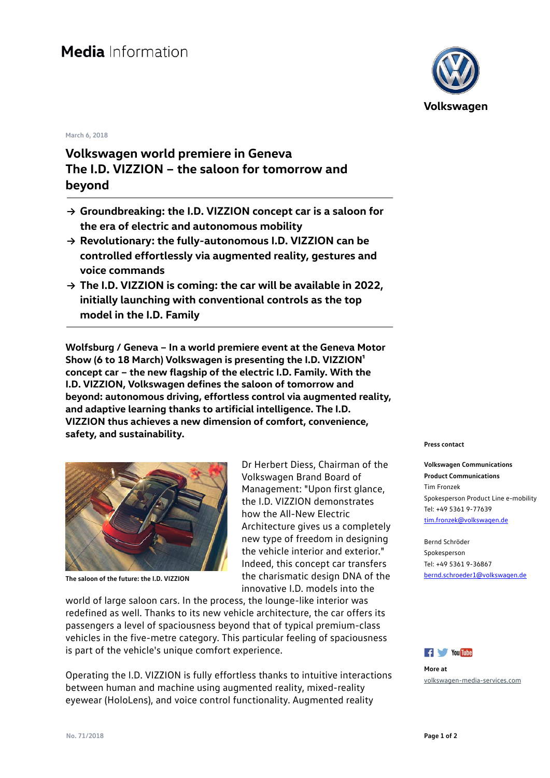## **March 6, 2018**

## **Volkswagen world premiere in Geneva The I.D. VIZZION – the saloon for tomorrow and beyond**

- **→ Groundbreaking: the I.D. VIZZION concept car is a saloon for the era of electric and autonomous mobility**
- **→ Revolutionary: the fully-autonomous I.D. VIZZION can be controlled effortlessly via augmented reality, gestures and voice commands**
- **→ The I.D. VIZZION is coming: the car will be available in 2022, initially launching with conventional controls as the top model in the I.D. Family**

**Wolfsburg / Geneva – In a world premiere event at the Geneva Motor**  Show (6 to 18 March) Volkswagen is presenting the I.D. VIZZION<sup>1</sup> **concept car – the new flagship of the electric I.D. Family. With the I.D. VIZZION, Volkswagen defines the saloon of tomorrow and beyond: autonomous driving, effortless control via augmented reality, and adaptive learning thanks to artificial intelligence. The I.D. VIZZION thus achieves a new dimension of comfort, convenience, safety, and sustainability.** 



**The saloon of the future: the I.D. VIZZION**

Dr Herbert Diess, Chairman of the Volkswagen Brand Board of Management: "Upon first glance, the I.D. VIZZION demonstrates how the All-New Electric Architecture gives us a completely new type of freedom in designing the vehicle interior and exterior." Indeed, this concept car transfers the charismatic design DNA of the innovative I.D. models into the

world of large saloon cars. In the process, the lounge-like interior was redefined as well. Thanks to its new vehicle architecture, the car offers its passengers a level of spaciousness beyond that of typical premium-class vehicles in the five-metre category. This particular feeling of spaciousness is part of the vehicle's unique comfort experience.

Operating the I.D. VIZZION is fully effortless thanks to intuitive interactions between human and machine using augmented reality, mixed-reality eyewear (HoloLens), and voice control functionality. Augmented reality



## **Press contact**

**Volkswagen Communications Product Communications** Tim Fronzek Spokesperson Product Line e-mobility Tel: +49 5361 9-77639 [tim.fronzek@volkswagen.de](mailto:tim.fronzek@volkswagen.de)

Bernd Schröder Spokesperson Tel: +49 5361 9-36867 [bernd.schroeder1@volkswagen.de](mailto:bernd.schroeder1@volkswagen.de)



**More at** [volkswagen-media-services.com](https://www.volkswagen-media-services.com/)